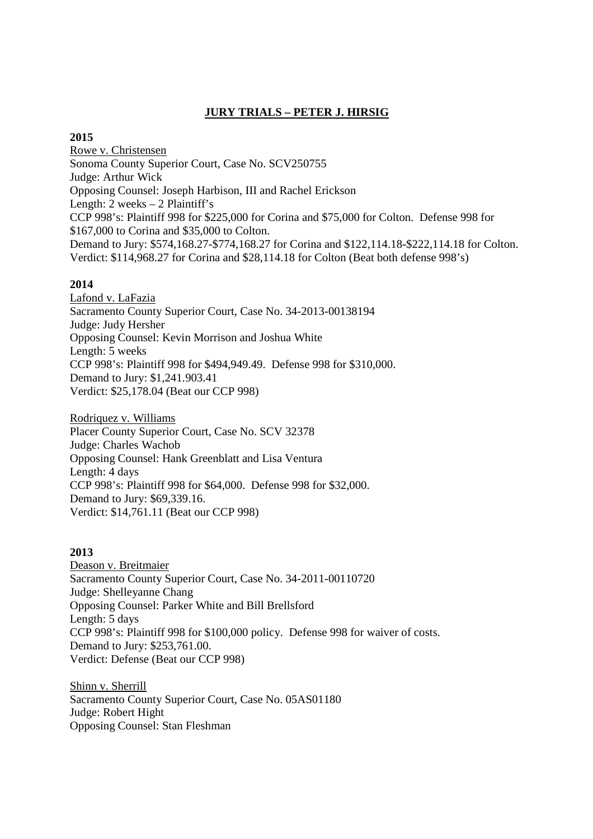# **JURY TRIALS – PETER J. HIRSIG**

# **2015**

Rowe v. Christensen Sonoma County Superior Court, Case No. SCV250755 Judge: Arthur Wick Opposing Counsel: Joseph Harbison, III and Rachel Erickson Length: 2 weeks – 2 Plaintiff's CCP 998's: Plaintiff 998 for \$225,000 for Corina and \$75,000 for Colton. Defense 998 for \$167,000 to Corina and \$35,000 to Colton. Demand to Jury: \$574,168.27-\$774,168.27 for Corina and \$122,114.18-\$222,114.18 for Colton. Verdict: \$114,968.27 for Corina and \$28,114.18 for Colton (Beat both defense 998's)

# **2014**

Lafond v. LaFazia Sacramento County Superior Court, Case No. 34-2013-00138194 Judge: Judy Hersher Opposing Counsel: Kevin Morrison and Joshua White Length: 5 weeks CCP 998's: Plaintiff 998 for \$494,949.49. Defense 998 for \$310,000. Demand to Jury: \$1,241.903.41 Verdict: \$25,178.04 (Beat our CCP 998)

Rodriquez v. Williams Placer County Superior Court, Case No. SCV 32378 Judge: Charles Wachob Opposing Counsel: Hank Greenblatt and Lisa Ventura Length: 4 days CCP 998's: Plaintiff 998 for \$64,000. Defense 998 for \$32,000. Demand to Jury: \$69,339.16. Verdict: \$14,761.11 (Beat our CCP 998)

# **2013**

Deason v. Breitmaier Sacramento County Superior Court, Case No. 34-2011-00110720 Judge: Shelleyanne Chang Opposing Counsel: Parker White and Bill Brellsford Length: 5 days CCP 998's: Plaintiff 998 for \$100,000 policy. Defense 998 for waiver of costs. Demand to Jury: \$253,761.00. Verdict: Defense (Beat our CCP 998)

Shinn v. Sherrill Sacramento County Superior Court, Case No. 05AS01180 Judge: Robert Hight Opposing Counsel: Stan Fleshman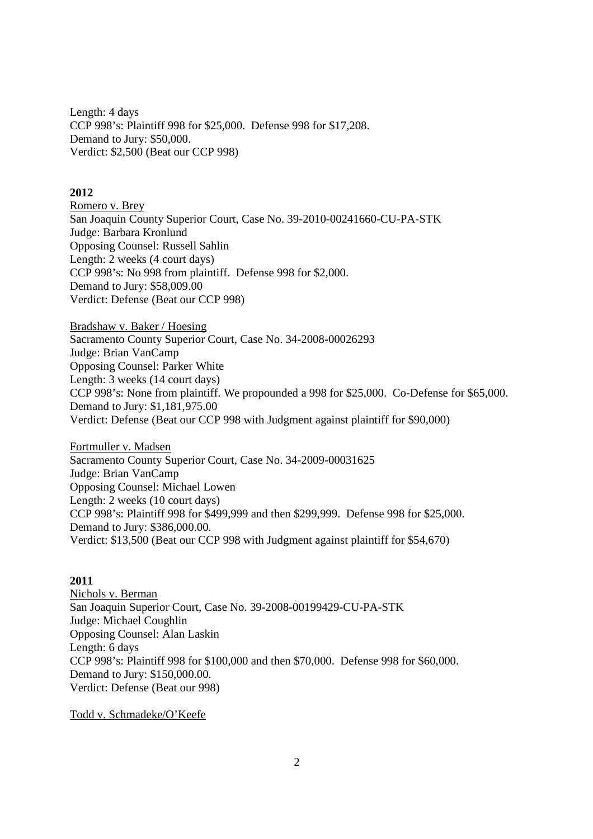Length: 4 days CCP 998's: Plaintiff 998 for \$25,000. Defense 998 for \$17,208. Demand to Jury: \$50,000. Verdict: \$2,500 (Beat our CCP 998)

### **2012**

Romero v. Brey San Joaquin County Superior Court, Case No. 39-2010-00241660-CU-PA-STK Judge: Barbara Kronlund Opposing Counsel: Russell Sahlin Length: 2 weeks (4 court days) CCP 998's: No 998 from plaintiff. Defense 998 for \$2,000. Demand to Jury: \$58,009.00 Verdict: Defense (Beat our CCP 998)

Bradshaw v. Baker / Hoesing Sacramento County Superior Court, Case No. 34-2008-00026293 Judge: Brian VanCamp Opposing Counsel: Parker White Length: 3 weeks (14 court days) CCP 998's: None from plaintiff. We propounded a 998 for \$25,000. Co-Defense for \$65,000. Demand to Jury: \$1,181,975.00 Verdict: Defense (Beat our CCP 998 with Judgment against plaintiff for \$90,000)

Fortmuller v. Madsen Sacramento County Superior Court, Case No. 34-2009-00031625 Judge: Brian VanCamp Opposing Counsel: Michael Lowen Length: 2 weeks (10 court days) CCP 998's: Plaintiff 998 for \$499,999 and then \$299,999. Defense 998 for \$25,000. Demand to Jury: \$386,000.00. Verdict: \$13,500 (Beat our CCP 998 with Judgment against plaintiff for \$54,670)

#### **2011**

Nichols v. Berman San Joaquin Superior Court, Case No. 39-2008-00199429-CU-PA-STK Judge: Michael Coughlin Opposing Counsel: Alan Laskin Length: 6 days CCP 998's: Plaintiff 998 for \$100,000 and then \$70,000. Defense 998 for \$60,000. Demand to Jury: \$150,000.00. Verdict: Defense (Beat our 998)

Todd v. Schmadeke/O'Keefe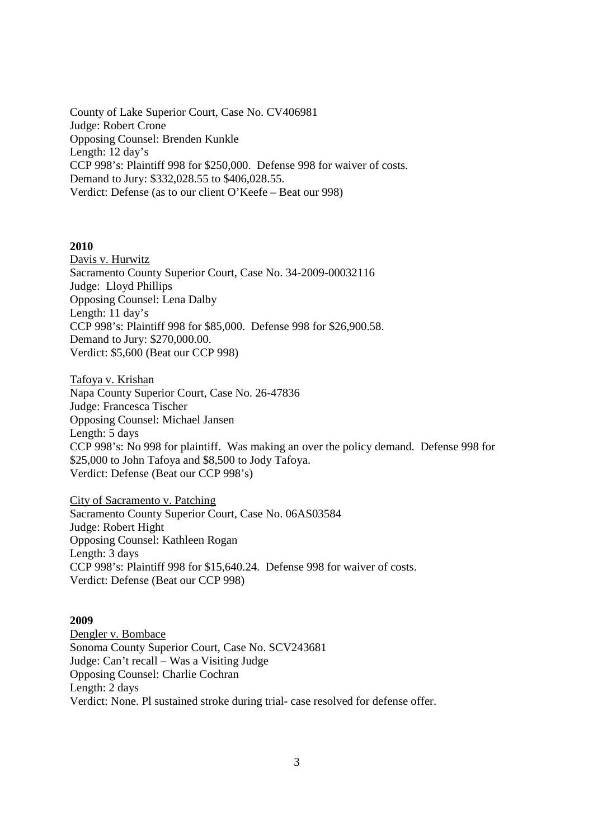County of Lake Superior Court, Case No. CV406981 Judge: Robert Crone Opposing Counsel: Brenden Kunkle Length: 12 day's CCP 998's: Plaintiff 998 for \$250,000. Defense 998 for waiver of costs. Demand to Jury: \$332,028.55 to \$406,028.55. Verdict: Defense (as to our client O'Keefe – Beat our 998)

#### **2010**

Davis v. Hurwitz Sacramento County Superior Court, Case No. 34-2009-00032116 Judge: Lloyd Phillips Opposing Counsel: Lena Dalby Length: 11 day's CCP 998's: Plaintiff 998 for \$85,000. Defense 998 for \$26,900.58. Demand to Jury: \$270,000.00. Verdict: \$5,600 (Beat our CCP 998)

Tafoya v. Krishan Napa County Superior Court, Case No. 26-47836 Judge: Francesca Tischer Opposing Counsel: Michael Jansen Length: 5 days CCP 998's: No 998 for plaintiff. Was making an over the policy demand. Defense 998 for \$25,000 to John Tafoya and \$8,500 to Jody Tafoya. Verdict: Defense (Beat our CCP 998's)

City of Sacramento v. Patching Sacramento County Superior Court, Case No. 06AS03584 Judge: Robert Hight Opposing Counsel: Kathleen Rogan Length: 3 days CCP 998's: Plaintiff 998 for \$15,640.24. Defense 998 for waiver of costs. Verdict: Defense (Beat our CCP 998)

#### **2009**

Dengler v. Bombace Sonoma County Superior Court, Case No. SCV243681 Judge: Can't recall – Was a Visiting Judge Opposing Counsel: Charlie Cochran Length: 2 days Verdict: None. Pl sustained stroke during trial- case resolved for defense offer.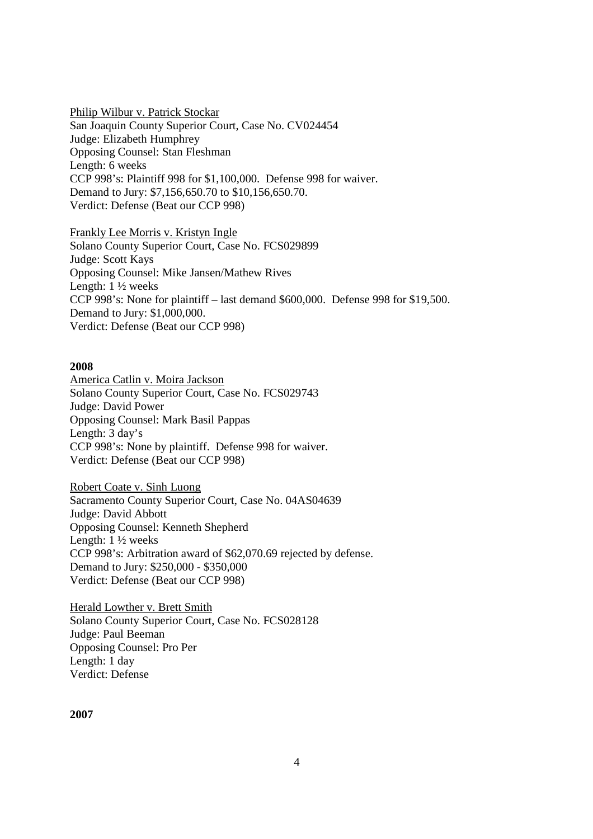Philip Wilbur v. Patrick Stockar San Joaquin County Superior Court, Case No. CV024454 Judge: Elizabeth Humphrey Opposing Counsel: Stan Fleshman Length: 6 weeks CCP 998's: Plaintiff 998 for \$1,100,000. Defense 998 for waiver. Demand to Jury: \$7,156,650.70 to \$10,156,650.70. Verdict: Defense (Beat our CCP 998)

Frankly Lee Morris v. Kristyn Ingle Solano County Superior Court, Case No. FCS029899 Judge: Scott Kays Opposing Counsel: Mike Jansen/Mathew Rives Length: 1 ½ weeks CCP 998's: None for plaintiff – last demand \$600,000. Defense 998 for \$19,500. Demand to Jury: \$1,000,000. Verdict: Defense (Beat our CCP 998)

#### **2008**

America Catlin v. Moira Jackson Solano County Superior Court, Case No. FCS029743 Judge: David Power Opposing Counsel: Mark Basil Pappas Length: 3 day's CCP 998's: None by plaintiff. Defense 998 for waiver. Verdict: Defense (Beat our CCP 998)

Robert Coate v. Sinh Luong Sacramento County Superior Court, Case No. 04AS04639 Judge: David Abbott Opposing Counsel: Kenneth Shepherd Length: 1 ½ weeks CCP 998's: Arbitration award of \$62,070.69 rejected by defense. Demand to Jury: \$250,000 - \$350,000 Verdict: Defense (Beat our CCP 998)

Herald Lowther v. Brett Smith Solano County Superior Court, Case No. FCS028128 Judge: Paul Beeman Opposing Counsel: Pro Per Length: 1 day Verdict: Defense

### **2007**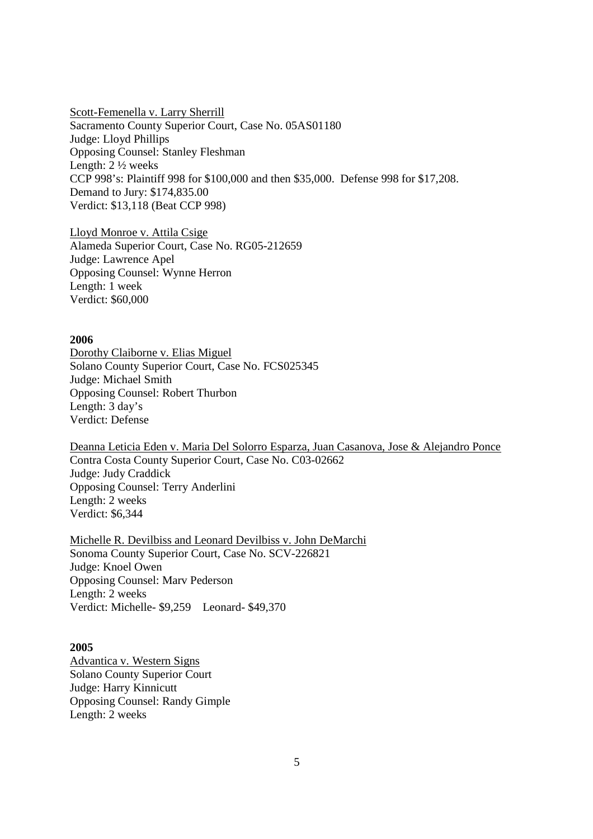Scott-Femenella v. Larry Sherrill Sacramento County Superior Court, Case No. 05AS01180 Judge: Lloyd Phillips Opposing Counsel: Stanley Fleshman Length: 2 ½ weeks CCP 998's: Plaintiff 998 for \$100,000 and then \$35,000. Defense 998 for \$17,208. Demand to Jury: \$174,835.00 Verdict: \$13,118 (Beat CCP 998)

Lloyd Monroe v. Attila Csige Alameda Superior Court, Case No. RG05-212659 Judge: Lawrence Apel Opposing Counsel: Wynne Herron Length: 1 week Verdict: \$60,000

#### **2006**

Dorothy Claiborne v. Elias Miguel Solano County Superior Court, Case No. FCS025345 Judge: Michael Smith Opposing Counsel: Robert Thurbon Length: 3 day's Verdict: Defense

Deanna Leticia Eden v. Maria Del Solorro Esparza, Juan Casanova, Jose & Alejandro Ponce Contra Costa County Superior Court, Case No. C03-02662 Judge: Judy Craddick Opposing Counsel: Terry Anderlini Length: 2 weeks Verdict: \$6,344

Michelle R. Devilbiss and Leonard Devilbiss v. John DeMarchi Sonoma County Superior Court, Case No. SCV-226821 Judge: Knoel Owen Opposing Counsel: Marv Pederson Length: 2 weeks Verdict: Michelle- \$9,259 Leonard- \$49,370

#### **2005**

Advantica v. Western Signs Solano County Superior Court Judge: Harry Kinnicutt Opposing Counsel: Randy Gimple Length: 2 weeks